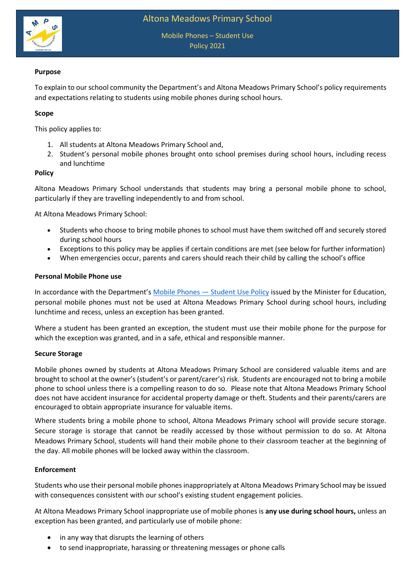

## **Purpose**

To explain to our school community the Department's and Altona Meadows Primary School's policy requirements and expectations relating to students using mobile phones during school hours.

## **Scope**

This policy applies to:

- 1. All students at Altona Meadows Primary School and,
- 2. Student's personal mobile phones brought onto school premises during school hours, including recess and lunchtime

### **Policy**

Altona Meadows Primary School understands that students may bring a personal mobile phone to school, particularly if they are travelling independently to and from school.

At Altona Meadows Primary School:

- Students who choose to bring mobile phones to school must have them switched off and securely stored during school hours
- Exceptions to this policy may be applies if certain conditions are met (see below for further information)
- When emergencies occur, parents and carers should reach their child by calling the school's office

### **Personal Mobile Phone use**

In accordance with the Department's Mobile Phones - [Student Use Policy](https://www2.education.vic.gov.au/pal/students-using-mobile-phones/policy) issued by the Minister for Education, personal mobile phones must not be used at Altona Meadows Primary School during school hours, including lunchtime and recess, unless an exception has been granted.

Where a student has been granted an exception, the student must use their mobile phone for the purpose for which the exception was granted, and in a safe, ethical and responsible manner.

### **Secure Storage**

Mobile phones owned by students at Altona Meadows Primary School are considered valuable items and are brought to school at the owner's (student's or parent/carer's) risk. Students are encouraged not to bring a mobile phone to school unless there is a compelling reason to do so. Please note that Altona Meadows Primary School does not have accident insurance for accidental property damage or theft. Students and their parents/carers are encouraged to obtain appropriate insurance for valuable items.

Where students bring a mobile phone to school, Altona Meadows Primary school will provide secure storage. Secure storage is storage that cannot be readily accessed by those without permission to do so. At Altona Meadows Primary School, students will hand their mobile phone to their classroom teacher at the beginning of the day. All mobile phones will be locked away within the classroom.

### **Enforcement**

Students who use their personal mobile phones inappropriately at Altona Meadows Primary School may be issued with consequences consistent with our school's existing student engagement policies.

At Altona Meadows Primary School inappropriate use of mobile phones is **any use during school hours,** unless an exception has been granted, and particularly use of mobile phone:

- in any way that disrupts the learning of others
- to send inappropriate, harassing or threatening messages or phone calls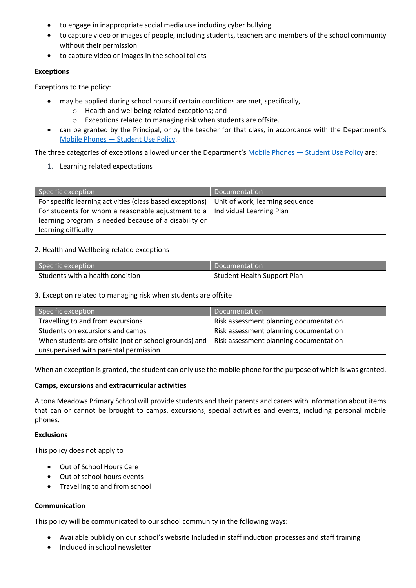- to engage in inappropriate social media use including cyber bullying
- to capture video or images of people, including students, teachers and members of the school community without their permission
- to capture video or images in the school toilets

## **Exceptions**

Exceptions to the policy:

- may be applied during school hours if certain conditions are met, specifically,
	- o Health and wellbeing-related exceptions; and
	- o Exceptions related to managing risk when students are offsite.
- can be granted by the Principal, or by the teacher for that class, in accordance with the Department's Mobile Phones — [Student Use Policy.](https://www2.education.vic.gov.au/pal/students-using-mobile-phones/policy)

The three categories of exceptions allowed under the Department's Mobile Phones — [Student Use Policy](https://www2.education.vic.gov.au/pal/students-using-mobile-phones/policy) are:

1. Learning related expectations

| Specific exception                                                                          | Documentation |
|---------------------------------------------------------------------------------------------|---------------|
| For specific learning activities (class based exceptions)   Unit of work, learning sequence |               |
| For students for whom a reasonable adjustment to a $ $ Individual Learning Plan             |               |
| learning program is needed because of a disability or                                       |               |
| learning difficulty                                                                         |               |

# 2. Health and Wellbeing related exceptions

| Specific exception               | Documentation               |
|----------------------------------|-----------------------------|
| Students with a health condition | Student Health Support Plan |

## 3. Exception related to managing risk when students are offsite

| Specific exception                                                                                   | Documentation                          |
|------------------------------------------------------------------------------------------------------|----------------------------------------|
| Travelling to and from excursions                                                                    | Risk assessment planning documentation |
| Students on excursions and camps                                                                     | Risk assessment planning documentation |
| When students are offsite (not on school grounds) and $\vert$ Risk assessment planning documentation |                                        |
| unsupervised with parental permission                                                                |                                        |

When an exception is granted, the student can only use the mobile phone for the purpose of which is was granted.

# **Camps, excursions and extracurricular activities**

Altona Meadows Primary School will provide students and their parents and carers with information about items that can or cannot be brought to camps, excursions, special activities and events, including personal mobile phones.

### **Exclusions**

This policy does not apply to

- Out of School Hours Care
- Out of school hours events
- Travelling to and from school

### **Communication**

This policy will be communicated to our school community in the following ways:

- Available publicly on our school's website Included in staff induction processes and staff training
- Included in school newsletter